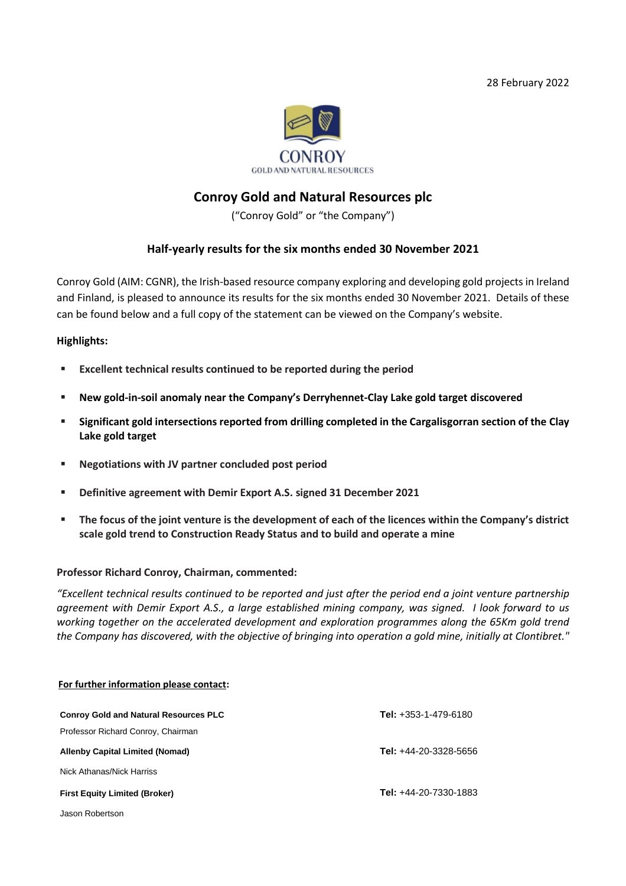28 February 2022



# **Conroy Gold and Natural Resources plc**

("Conroy Gold" or "the Company")

# **Half-yearly results for the six months ended 30 November 2021**

Conroy Gold (AIM: CGNR), the Irish-based resource company exploring and developing gold projects in Ireland and Finland, is pleased to announce its results for the six months ended 30 November 2021. Details of these can be found below and a full copy of the statement can be viewed on the Company's website.

## **Highlights:**

- **Excellent technical results continued to be reported during the period**
- **New gold-in-soil anomaly near the Company's Derryhennet-Clay Lake gold target discovered**
- **Significant gold intersections reported from drilling completed in the Cargalisgorran section of the Clay Lake gold target**
- **Negotiations with JV partner concluded post period**
- **Definitive agreement with Demir Export A.S. signed 31 December 2021**
- The **focus of the joint venture is the development of each of the licences within the Company's district scale gold trend to Construction Ready Status and to build and operate a mine**

#### **Professor Richard Conroy, Chairman, commented:**

*"Excellent technical results continued to be reported and just after the period end a joint venture partnership agreement with Demir Export A.S., a large established mining company, was signed. I look forward to us working together on the accelerated development and exploration programmes along the 65Km gold trend the Company has discovered, with the objective of bringing into operation a gold mine, initially at Clontibret."* 

| For further information please contact:      |                                |
|----------------------------------------------|--------------------------------|
| <b>Conroy Gold and Natural Resources PLC</b> | <b>Tel:</b> $+353-1-479-6180$  |
| Professor Richard Conroy, Chairman           |                                |
| Allenby Capital Limited (Nomad)              | <b>Tel:</b> $+44-20-3328-5656$ |
| Nick Athanas/Nick Harriss                    |                                |
| <b>First Equity Limited (Broker)</b>         | <b>Tel:</b> $+44-20-7330-1883$ |
| Jason Robertson                              |                                |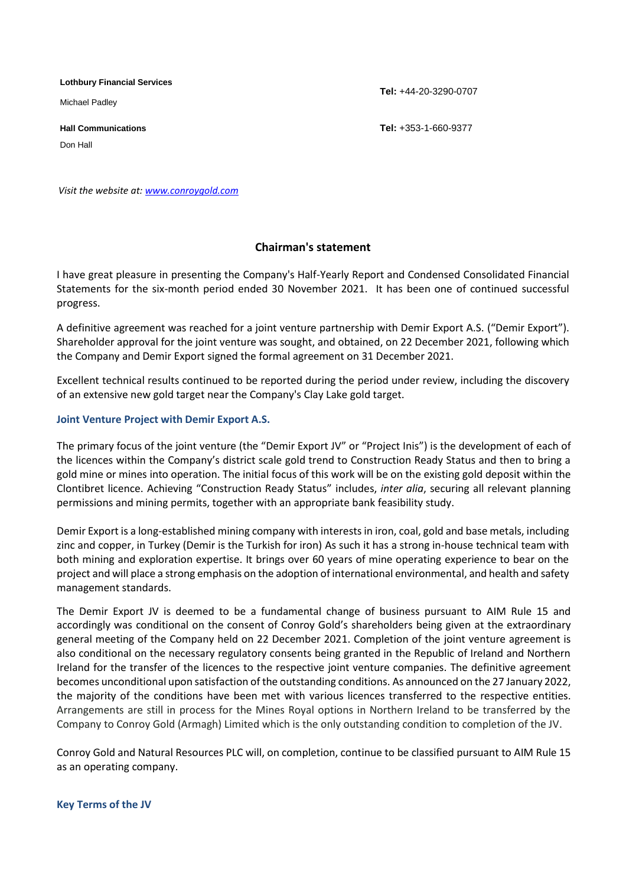**Lothbury Financial Services**

Michael Padley

Don Hall

**Tel:** +44-20-3290-0707

**Hall Communications Tel:** +353-1-660-9377

*Visit the website at: [www.conroygold.com](http://www.conroygold.com/)*

# **Chairman's statement**

I have great pleasure in presenting the Company's Half-Yearly Report and Condensed Consolidated Financial Statements for the six-month period ended 30 November 2021. It has been one of continued successful progress.

A definitive agreement was reached for a joint venture partnership with Demir Export A.S. ("Demir Export"). Shareholder approval for the joint venture was sought, and obtained, on 22 December 2021, following which the Company and Demir Export signed the formal agreement on 31 December 2021.

Excellent technical results continued to be reported during the period under review, including the discovery of an extensive new gold target near the Company's Clay Lake gold target.

## **Joint Venture Project with Demir Export A.S.**

The primary focus of the joint venture (the "Demir Export JV" or "Project Inis") is the development of each of the licences within the Company's district scale gold trend to Construction Ready Status and then to bring a gold mine or mines into operation. The initial focus of this work will be on the existing gold deposit within the Clontibret licence. Achieving "Construction Ready Status" includes, *inter alia*, securing all relevant planning permissions and mining permits, together with an appropriate bank feasibility study.

Demir Export is a long-established mining company with interests in iron, coal, gold and base metals, including zinc and copper, in Turkey (Demir is the Turkish for iron) As such it has a strong in-house technical team with both mining and exploration expertise. It brings over 60 years of mine operating experience to bear on the project and will place a strong emphasis on the adoption of international environmental, and health and safety management standards.

The Demir Export JV is deemed to be a fundamental change of business pursuant to AIM Rule 15 and accordingly was conditional on the consent of Conroy Gold's shareholders being given at the extraordinary general meeting of the Company held on 22 December 2021. Completion of the joint venture agreement is also conditional on the necessary regulatory consents being granted in the Republic of Ireland and Northern Ireland for the transfer of the licences to the respective joint venture companies. The definitive agreement becomes unconditional upon satisfaction of the outstanding conditions. As announced on the 27 January 2022, the majority of the conditions have been met with various licences transferred to the respective entities. Arrangements are still in process for the Mines Royal options in Northern Ireland to be transferred by the Company to Conroy Gold (Armagh) Limited which is the only outstanding condition to completion of the JV.

Conroy Gold and Natural Resources PLC will, on completion, continue to be classified pursuant to AIM Rule 15 as an operating company.

#### **Key Terms of the JV**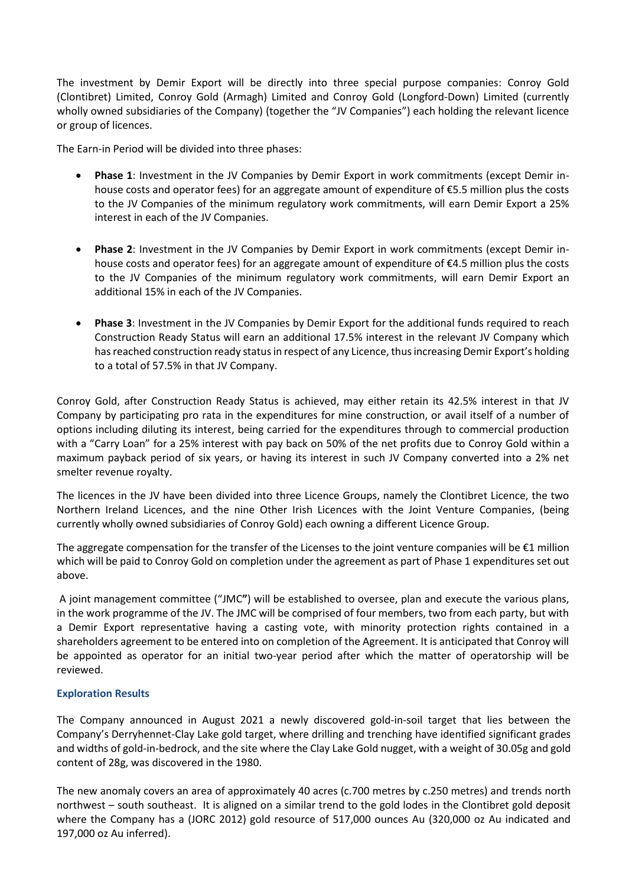The investment by Demir Export will be directly into three special purpose companies: Conroy Gold (Clontibret) Limited, Conroy Gold (Armagh) Limited and Conroy Gold (Longford-Down) Limited (currently wholly owned subsidiaries of the Company) (together the "JV Companies") each holding the relevant licence or group of licences.

The Earn-in Period will be divided into three phases:

- **Phase 1**: Investment in the JV Companies by Demir Export in work commitments (except Demir inhouse costs and operator fees) for an aggregate amount of expenditure of €5.5 million plus the costs to the JV Companies of the minimum regulatory work commitments, will earn Demir Export a 25% interest in each of the JV Companies.
- **Phase 2**: Investment in the JV Companies by Demir Export in work commitments (except Demir inhouse costs and operator fees) for an aggregate amount of expenditure of €4.5 million plus the costs to the JV Companies of the minimum regulatory work commitments, will earn Demir Export an additional 15% in each of the JV Companies.
- **Phase 3**: Investment in the JV Companies by Demir Export for the additional funds required to reach Construction Ready Status will earn an additional 17.5% interest in the relevant JV Company which has reached construction ready status in respect of any Licence, thus increasing Demir Export's holding to a total of 57.5% in that JV Company.

Conroy Gold, after Construction Ready Status is achieved, may either retain its 42.5% interest in that JV Company by participating pro rata in the expenditures for mine construction, or avail itself of a number of options including diluting its interest, being carried for the expenditures through to commercial production with a "Carry Loan" for a 25% interest with pay back on 50% of the net profits due to Conroy Gold within a maximum payback period of six years, or having its interest in such JV Company converted into a 2% net smelter revenue royalty.

The licences in the JV have been divided into three Licence Groups, namely the Clontibret Licence, the two Northern Ireland Licences, and the nine Other Irish Licences with the Joint Venture Companies, (being currently wholly owned subsidiaries of Conroy Gold) each owning a different Licence Group.

The aggregate compensation for the transfer of the Licenses to the joint venture companies will be  $E1$  million which will be paid to Conroy Gold on completion under the agreement as part of Phase 1 expenditures set out above.

A joint management committee ("JMC**"**) will be established to oversee, plan and execute the various plans, in the work programme of the JV. The JMC will be comprised of four members, two from each party, but with a Demir Export representative having a casting vote, with minority protection rights contained in a shareholders agreement to be entered into on completion of the Agreement. It is anticipated that Conroy will be appointed as operator for an initial two-year period after which the matter of operatorship will be reviewed.

# **Exploration Results**

The Company announced in August 2021 a newly discovered gold-in-soil target that lies between the Company's Derryhennet-Clay Lake gold target, where drilling and trenching have identified significant grades and widths of gold-in-bedrock, and the site where the Clay Lake Gold nugget, with a weight of 30.05g and gold content of 28g, was discovered in the 1980.

The new anomaly covers an area of approximately 40 acres (c.700 metres by c.250 metres) and trends north northwest – south southeast. It is aligned on a similar trend to the gold lodes in the Clontibret gold deposit where the Company has a (JORC 2012) gold resource of 517,000 ounces Au (320,000 oz Au indicated and 197,000 oz Au inferred).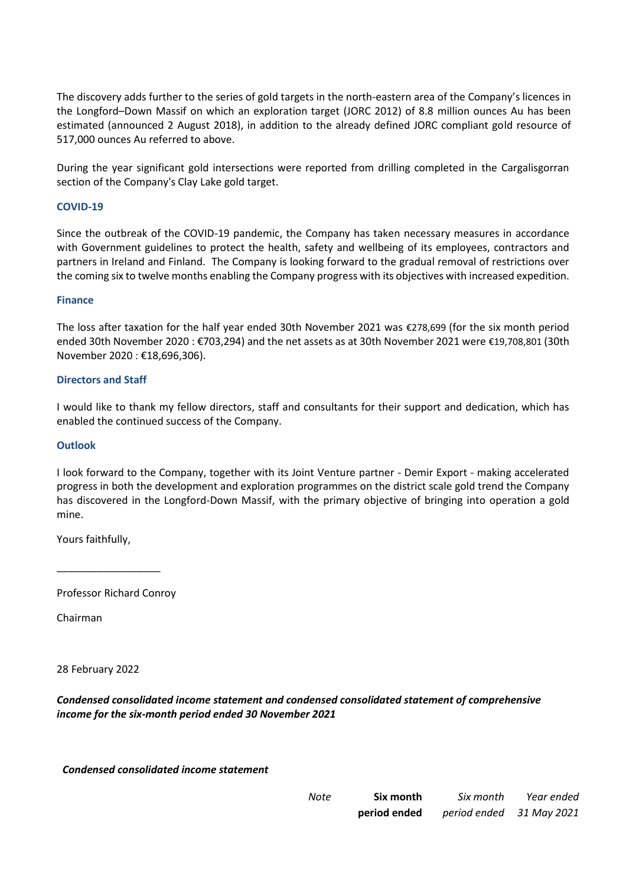The discovery adds further to the series of gold targets in the north-eastern area of the Company's licences in the Longford–Down Massif on which an exploration target (JORC 2012) of 8.8 million ounces Au has been estimated (announced 2 August 2018), in addition to the already defined JORC compliant gold resource of 517,000 ounces Au referred to above.

During the year significant gold intersections were reported from drilling completed in the Cargalisgorran section of the Company's Clay Lake gold target.

## **COVID-19**

Since the outbreak of the COVID-19 pandemic, the Company has taken necessary measures in accordance with Government guidelines to protect the health, safety and wellbeing of its employees, contractors and partners in Ireland and Finland. The Company is looking forward to the gradual removal of restrictions over the coming six to twelve months enabling the Company progress with its objectives with increased expedition.

#### **Finance**

The loss after taxation for the half year ended 30th November 2021 was €278,699 (for the six month period ended 30th November 2020 : €703,294) and the net assets as at 30th November 2021 were €19,708,801 (30th November 2020 : €18,696,306).

#### **Directors and Staff**

I would like to thank my fellow directors, staff and consultants for their support and dedication, which has enabled the continued success of the Company.

## **Outlook**

I look forward to the Company, together with its Joint Venture partner - Demir Export - making accelerated progress in both the development and exploration programmes on the district scale gold trend the Company has discovered in the Longford-Down Massif, with the primary objective of bringing into operation a gold mine.

Yours faithfully,

Professor Richard Conroy

\_\_\_\_\_\_\_\_\_\_\_\_\_\_\_\_\_\_

Chairman

28 February 2022

*Condensed consolidated income statement and condensed consolidated statement of comprehensive income for the six-month period ended 30 November 2021*

*Condensed consolidated income statement*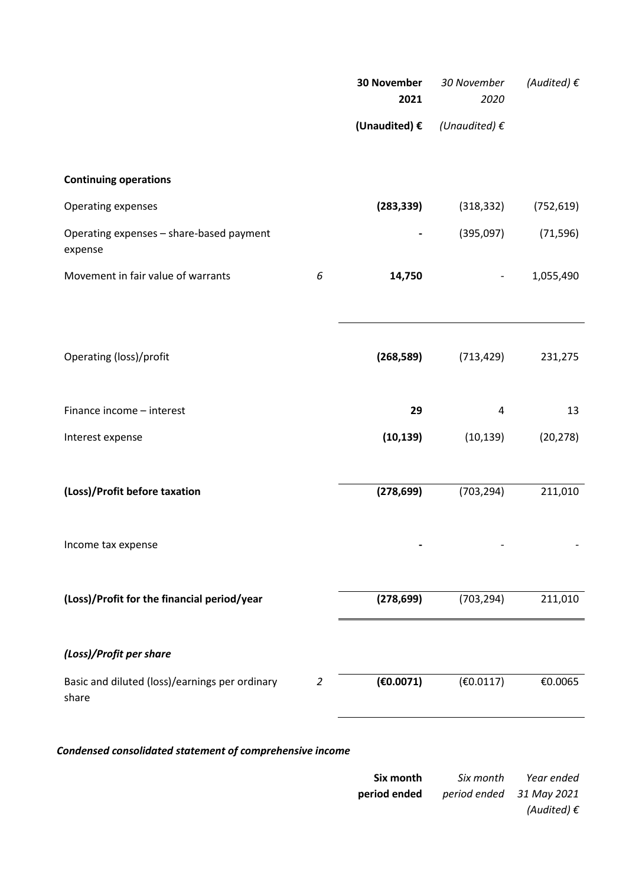|                                                         |   | <b>30 November</b><br>2021 | 30 November<br>2020          | (Audited) $\epsilon$ |
|---------------------------------------------------------|---|----------------------------|------------------------------|----------------------|
|                                                         |   | (Unaudited) €              | (Unaudited) $\epsilon$       |                      |
| <b>Continuing operations</b>                            |   |                            |                              |                      |
| Operating expenses                                      |   | (283, 339)                 | (318, 332)                   | (752, 619)           |
| Operating expenses - share-based payment<br>expense     |   |                            | (395,097)                    | (71, 596)            |
| Movement in fair value of warrants                      | 6 | 14,750                     | $\qquad \qquad \blacksquare$ | 1,055,490            |
|                                                         |   |                            |                              |                      |
| Operating (loss)/profit                                 |   | (268, 589)                 | (713, 429)                   | 231,275              |
|                                                         |   |                            |                              |                      |
| Finance income - interest                               |   | 29                         | 4                            | 13                   |
| Interest expense                                        |   | (10, 139)                  | (10, 139)                    | (20, 278)            |
|                                                         |   |                            |                              |                      |
| (Loss)/Profit before taxation                           |   | (278, 699)                 | (703, 294)                   | 211,010              |
|                                                         |   |                            |                              |                      |
| Income tax expense                                      |   |                            |                              |                      |
| (Loss)/Profit for the financial period/year             |   | (278, 699)                 | (703, 294)                   | 211,010              |
|                                                         |   |                            |                              |                      |
| (Loss)/Profit per share                                 |   |                            |                              |                      |
| Basic and diluted (loss)/earnings per ordinary<br>share | 2 | (€0.0071)                  | (€0.0117)                    | €0.0065              |
|                                                         |   |                            |                              |                      |

*Condensed consolidated statement of comprehensive income*

| Six month<br>Six month                              | Year ended           |
|-----------------------------------------------------|----------------------|
| <b>period ended</b> <i>period ended</i> 31 May 2021 |                      |
|                                                     | (Audited) $\epsilon$ |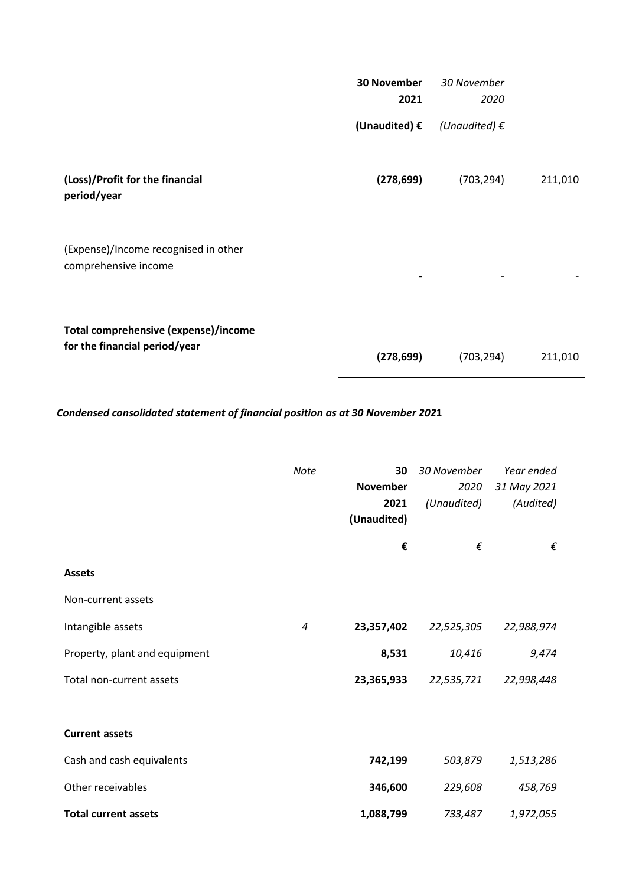|                                                                       | <b>30 November</b><br>2021 | 30 November<br>2020    |         |
|-----------------------------------------------------------------------|----------------------------|------------------------|---------|
|                                                                       | (Unaudited) $\epsilon$     | (Unaudited) $\epsilon$ |         |
| (Loss)/Profit for the financial<br>period/year                        | (278, 699)                 | (703, 294)             | 211,010 |
| (Expense)/Income recognised in other<br>comprehensive income          |                            |                        |         |
| Total comprehensive (expense)/income<br>for the financial period/year | (278, 699)                 | (703, 294)             | 211,010 |

*Condensed consolidated statement of financial position as at 30 November 202***1**

|                               | <b>Note</b> | 30<br><b>November</b><br>2021<br>(Unaudited) | 30 November<br>2020<br>(Unaudited) | Year ended<br>31 May 2021<br>(Audited) |
|-------------------------------|-------------|----------------------------------------------|------------------------------------|----------------------------------------|
|                               |             | €                                            | €                                  | €                                      |
| <b>Assets</b>                 |             |                                              |                                    |                                        |
| Non-current assets            |             |                                              |                                    |                                        |
| Intangible assets             | 4           | 23,357,402                                   | 22,525,305                         | 22,988,974                             |
| Property, plant and equipment |             | 8,531                                        | 10,416                             | 9,474                                  |
| Total non-current assets      |             | 23,365,933                                   | 22,535,721                         | 22,998,448                             |
|                               |             |                                              |                                    |                                        |
| <b>Current assets</b>         |             |                                              |                                    |                                        |
| Cash and cash equivalents     |             | 742,199                                      | 503,879                            | 1,513,286                              |
| Other receivables             |             | 346,600                                      | 229,608                            | 458,769                                |
| <b>Total current assets</b>   |             | 1,088,799                                    | 733,487                            | 1,972,055                              |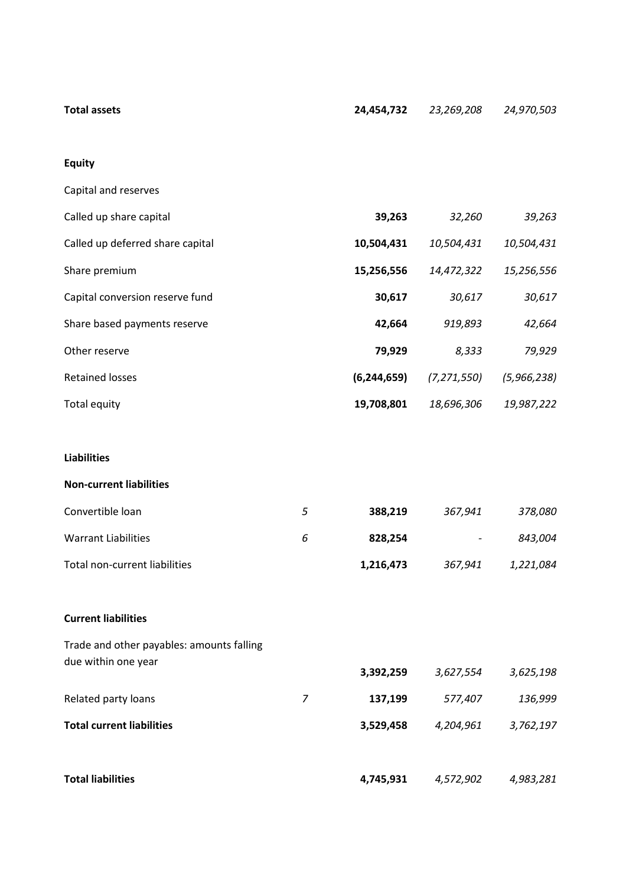| Total assets | <b>24,454,732</b> 23,269,208  24,970,503 |  |
|--------------|------------------------------------------|--|
|              |                                          |  |

# **Equity**

| Capital and reserves             |               |               |             |
|----------------------------------|---------------|---------------|-------------|
| Called up share capital          | 39,263        | 32,260        | 39,263      |
| Called up deferred share capital | 10,504,431    | 10,504,431    | 10,504,431  |
| Share premium                    | 15,256,556    | 14,472,322    | 15,256,556  |
| Capital conversion reserve fund  | 30,617        | 30,617        | 30,617      |
| Share based payments reserve     | 42,664        | 919,893       | 42,664      |
| Other reserve                    | 79,929        | 8,333         | 79,929      |
| <b>Retained losses</b>           | (6, 244, 659) | (7, 271, 550) | (5,966,238) |
| Total equity                     | 19,708,801    | 18,696,306    | 19,987,222  |

# **Liabilities**

#### **Non-current liabilities**

| Convertible loan              | 5 | 388.219   | 367.941                  | 378.080   |
|-------------------------------|---|-----------|--------------------------|-----------|
| Warrant Liabilities           | ь | 828.254   | $\overline{\phantom{a}}$ | 843.004   |
| Total non-current liabilities |   | 1,216,473 | 367,941                  | 1,221,084 |

# **Current liabilities**

| Trade and other payables: amounts falling |   |           |           |           |
|-------------------------------------------|---|-----------|-----------|-----------|
| due within one year                       |   | 3,392,259 | 3,627,554 | 3,625,198 |
| Related party loans                       | 7 | 137,199   | 577,407   | 136,999   |
| <b>Total current liabilities</b>          |   | 3,529,458 | 4,204,961 | 3,762,197 |
|                                           |   |           |           |           |
| <b>Total liabilities</b>                  |   | 4,745,931 | 4,572,902 | 4,983,281 |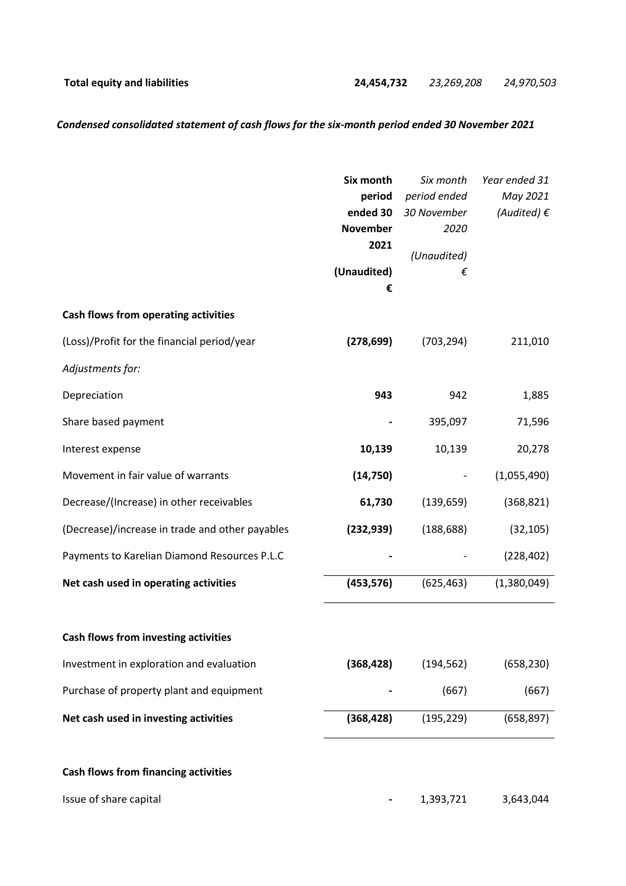# *Condensed consolidated statement of cash flows for the six-month period ended 30 November 2021*

|                                                 | Six month       | Six month    | Year ended 31        |
|-------------------------------------------------|-----------------|--------------|----------------------|
|                                                 | period          | period ended | May 2021             |
|                                                 | ended 30        | 30 November  | (Audited) $\epsilon$ |
|                                                 | <b>November</b> | 2020         |                      |
|                                                 | 2021            | (Unaudited)  |                      |
|                                                 | (Unaudited)     | €            |                      |
|                                                 | €               |              |                      |
| Cash flows from operating activities            |                 |              |                      |
| (Loss)/Profit for the financial period/year     | (278, 699)      | (703, 294)   | 211,010              |
| Adjustments for:                                |                 |              |                      |
| Depreciation                                    | 943             | 942          | 1,885                |
| Share based payment                             |                 | 395,097      | 71,596               |
| Interest expense                                | 10,139          | 10,139       | 20,278               |
| Movement in fair value of warrants              | (14, 750)       |              | (1,055,490)          |
| Decrease/(Increase) in other receivables        | 61,730          | (139, 659)   | (368, 821)           |
| (Decrease)/increase in trade and other payables | (232, 939)      | (188, 688)   | (32, 105)            |
| Payments to Karelian Diamond Resources P.L.C    |                 |              | (228, 402)           |
| Net cash used in operating activities           | (453, 576)      | (625, 463)   | (1,380,049)          |
| <b>Cash flows from investing activities</b>     |                 |              |                      |
| Investment in exploration and evaluation        | (368, 428)      | (194, 562)   | (658, 230)           |
| Purchase of property plant and equipment        |                 | (667)        | (667)                |
| Net cash used in investing activities           | (368, 428)      | (195, 229)   | (658, 897)           |
| <b>Cash flows from financing activities</b>     |                 |              |                      |
| Issue of share capital                          |                 | 1,393,721    | 3,643,044            |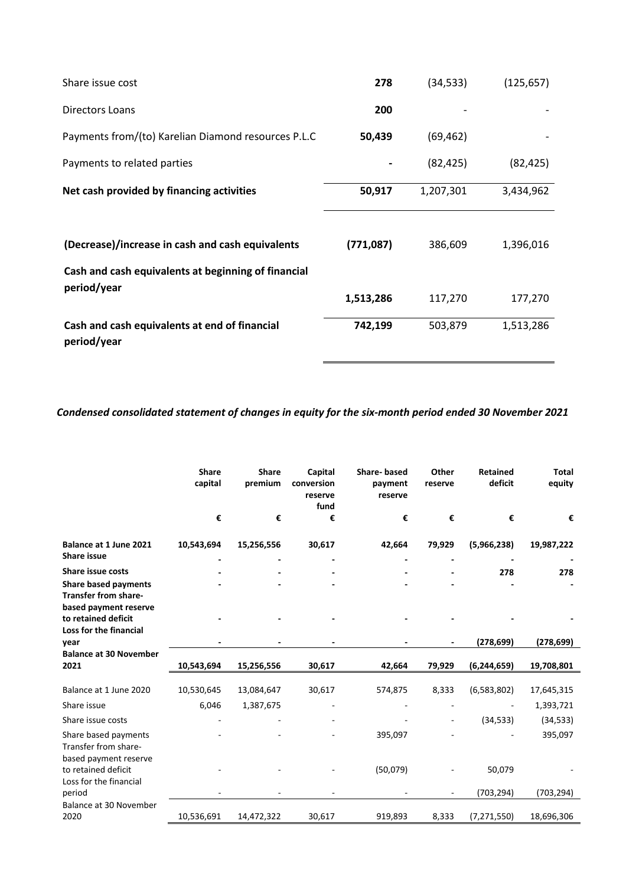| Share issue cost                                                   | 278       | (34, 533) | (125, 657) |
|--------------------------------------------------------------------|-----------|-----------|------------|
| Directors Loans                                                    | 200       |           |            |
| Payments from/(to) Karelian Diamond resources P.L.C                | 50,439    | (69, 462) |            |
| Payments to related parties                                        |           | (82, 425) | (82, 425)  |
| Net cash provided by financing activities                          | 50,917    | 1,207,301 | 3,434,962  |
| (Decrease)/increase in cash and cash equivalents                   | (771,087) | 386,609   | 1,396,016  |
| Cash and cash equivalents at beginning of financial<br>period/year | 1,513,286 | 117,270   | 177,270    |
| Cash and cash equivalents at end of financial<br>period/year       | 742,199   | 503,879   | 1,513,286  |

*Condensed consolidated statement of changes in equity for the six-month period ended 30 November 2021*

|                                                                        | <b>Share</b><br>capital | <b>Share</b><br>premium | Capital<br>conversion<br>reserve<br>fund | <b>Share-based</b><br>payment<br>reserve | Other<br>reserve | <b>Retained</b><br>deficit | <b>Total</b><br>equity |
|------------------------------------------------------------------------|-------------------------|-------------------------|------------------------------------------|------------------------------------------|------------------|----------------------------|------------------------|
|                                                                        | €                       | €                       | €                                        | €                                        | €                | €                          | €                      |
| Balance at 1 June 2021<br><b>Share issue</b>                           | 10,543,694              | 15,256,556              | 30,617                                   | 42,664                                   | 79,929           | (5,966,238)                | 19,987,222             |
| <b>Share issue costs</b>                                               |                         |                         |                                          |                                          |                  | 278                        | 278                    |
| <b>Share based payments</b><br><b>Transfer from share-</b>             |                         |                         |                                          |                                          |                  |                            |                        |
| based payment reserve<br>to retained deficit<br>Loss for the financial |                         |                         |                                          |                                          |                  |                            |                        |
| vear                                                                   |                         |                         |                                          |                                          |                  | (278, 699)                 | (278, 699)             |
| <b>Balance at 30 November</b>                                          |                         |                         |                                          |                                          |                  |                            |                        |
| 2021                                                                   | 10,543,694              | 15,256,556              | 30,617                                   | 42,664                                   | 79,929           | (6,244,659)                | 19,708,801             |
| Balance at 1 June 2020                                                 | 10,530,645              | 13,084,647              | 30,617                                   | 574,875                                  | 8,333            | (6,583,802)                | 17,645,315             |
| Share issue                                                            | 6,046                   | 1,387,675               |                                          |                                          |                  |                            | 1,393,721              |
| Share issue costs                                                      |                         |                         |                                          |                                          | ۰                | (34, 533)                  | (34, 533)              |
| Share based payments<br>Transfer from share-                           |                         |                         |                                          | 395,097                                  |                  |                            | 395,097                |
| based payment reserve<br>to retained deficit<br>Loss for the financial |                         |                         |                                          | (50,079)                                 |                  | 50,079                     |                        |
| period                                                                 |                         |                         |                                          |                                          | ٠                | (703, 294)                 | (703, 294)             |
| Balance at 30 November<br>2020                                         | 10,536,691              | 14,472,322              | 30,617                                   | 919,893                                  | 8,333            | (7, 271, 550)              | 18,696,306             |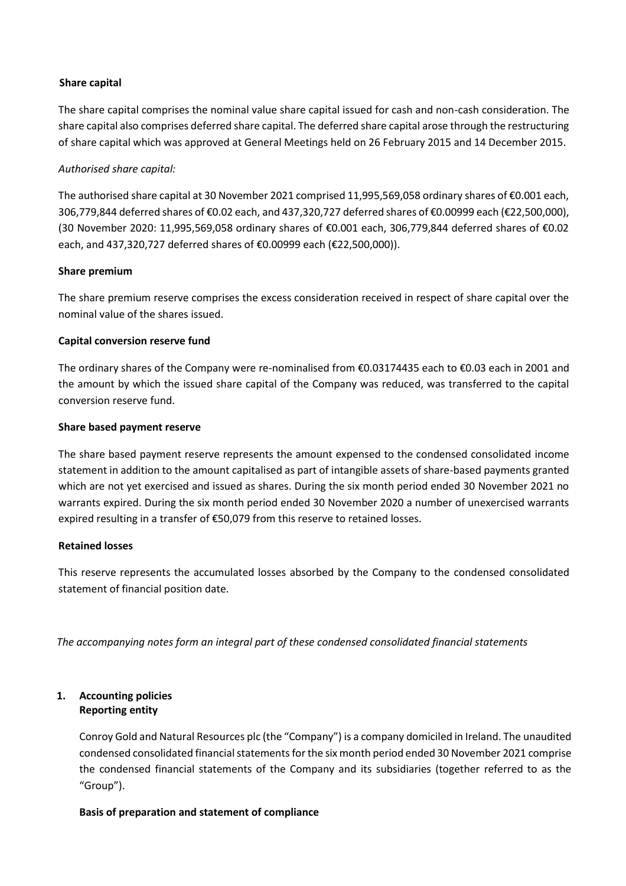# **Share capital**

The share capital comprises the nominal value share capital issued for cash and non-cash consideration. The share capital also comprises deferred share capital. The deferred share capital arose through the restructuring of share capital which was approved at General Meetings held on 26 February 2015 and 14 December 2015.

# *Authorised share capital:*

The authorised share capital at 30 November 2021 comprised 11,995,569,058 ordinary shares of €0.001 each, 306,779,844 deferred shares of €0.02 each, and 437,320,727 deferred shares of €0.00999 each (€22,500,000), (30 November 2020: 11,995,569,058 ordinary shares of €0.001 each, 306,779,844 deferred shares of €0.02 each, and 437,320,727 deferred shares of €0.00999 each (€22,500,000)).

# **Share premium**

The share premium reserve comprises the excess consideration received in respect of share capital over the nominal value of the shares issued.

# **Capital conversion reserve fund**

The ordinary shares of the Company were re-nominalised from €0.03174435 each to €0.03 each in 2001 and the amount by which the issued share capital of the Company was reduced, was transferred to the capital conversion reserve fund.

# **Share based payment reserve**

The share based payment reserve represents the amount expensed to the condensed consolidated income statement in addition to the amount capitalised as part of intangible assets of share-based payments granted which are not yet exercised and issued as shares. During the six month period ended 30 November 2021 no warrants expired. During the six month period ended 30 November 2020 a number of unexercised warrants expired resulting in a transfer of €50,079 from this reserve to retained losses.

## **Retained losses**

This reserve represents the accumulated losses absorbed by the Company to the condensed consolidated statement of financial position date.

*The accompanying notes form an integral part of these condensed consolidated financial statements*

## **1. Accounting policies Reporting entity**

Conroy Gold and Natural Resources plc (the "Company") is a company domiciled in Ireland. The unaudited condensed consolidated financial statements for the six month period ended 30 November 2021 comprise the condensed financial statements of the Company and its subsidiaries (together referred to as the "Group").

## **Basis of preparation and statement of compliance**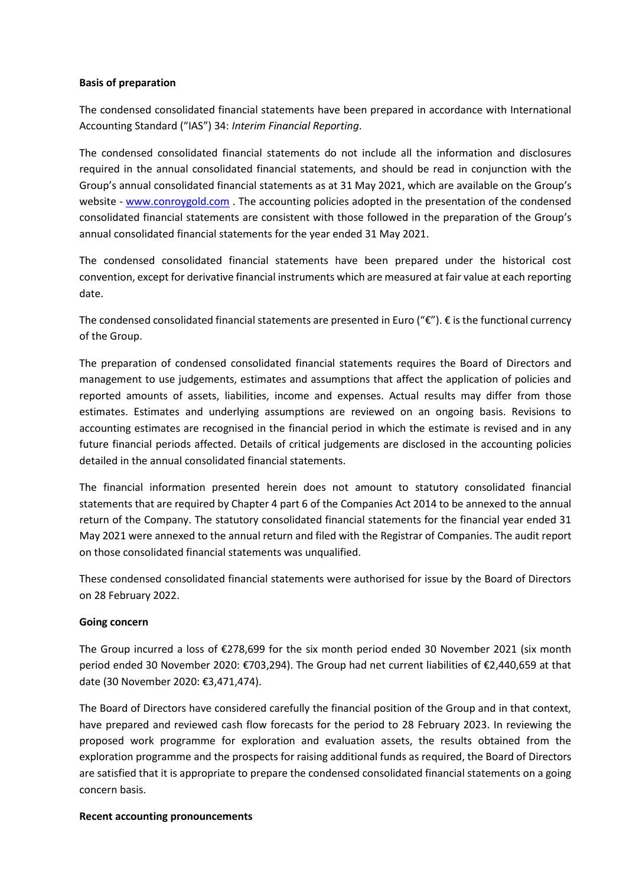#### **Basis of preparation**

The condensed consolidated financial statements have been prepared in accordance with International Accounting Standard ("IAS") 34: *Interim Financial Reporting*.

The condensed consolidated financial statements do not include all the information and disclosures required in the annual consolidated financial statements, and should be read in conjunction with the Group's annual consolidated financial statements as at 31 May 2021, which are available on the Group's website - [www.conroygold.com](http://www.conroygold.com/) . The accounting policies adopted in the presentation of the condensed consolidated financial statements are consistent with those followed in the preparation of the Group's annual consolidated financial statements for the year ended 31 May 2021.

The condensed consolidated financial statements have been prepared under the historical cost convention, except for derivative financial instruments which are measured at fair value at each reporting date.

The condensed consolidated financial statements are presented in Euro (" $\epsilon$ ").  $\epsilon$  is the functional currency of the Group.

The preparation of condensed consolidated financial statements requires the Board of Directors and management to use judgements, estimates and assumptions that affect the application of policies and reported amounts of assets, liabilities, income and expenses. Actual results may differ from those estimates. Estimates and underlying assumptions are reviewed on an ongoing basis. Revisions to accounting estimates are recognised in the financial period in which the estimate is revised and in any future financial periods affected. Details of critical judgements are disclosed in the accounting policies detailed in the annual consolidated financial statements.

The financial information presented herein does not amount to statutory consolidated financial statements that are required by Chapter 4 part 6 of the Companies Act 2014 to be annexed to the annual return of the Company. The statutory consolidated financial statements for the financial year ended 31 May 2021 were annexed to the annual return and filed with the Registrar of Companies. The audit report on those consolidated financial statements was unqualified.

These condensed consolidated financial statements were authorised for issue by the Board of Directors on 28 February 2022.

## **Going concern**

The Group incurred a loss of €278,699 for the six month period ended 30 November 2021 (six month period ended 30 November 2020: €703,294). The Group had net current liabilities of €2,440,659 at that date (30 November 2020: €3,471,474).

The Board of Directors have considered carefully the financial position of the Group and in that context, have prepared and reviewed cash flow forecasts for the period to 28 February 2023. In reviewing the proposed work programme for exploration and evaluation assets, the results obtained from the exploration programme and the prospects for raising additional funds as required, the Board of Directors are satisfied that it is appropriate to prepare the condensed consolidated financial statements on a going concern basis.

#### **Recent accounting pronouncements**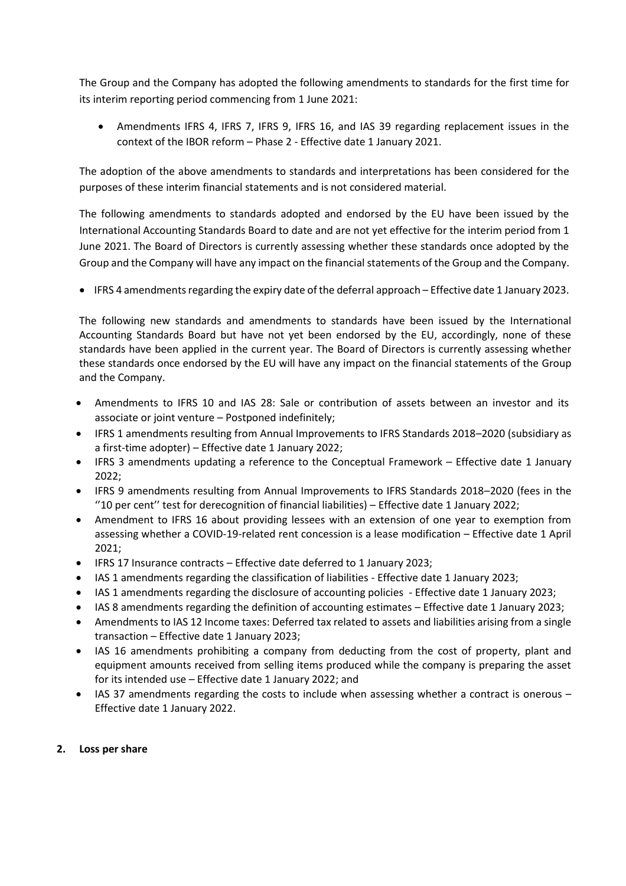The Group and the Company has adopted the following amendments to standards for the first time for its interim reporting period commencing from 1 June 2021:

• Amendments IFRS 4, IFRS 7, IFRS 9, IFRS 16, and IAS 39 regarding replacement issues in the context of the IBOR reform – Phase 2 - Effective date 1 January 2021.

The adoption of the above amendments to standards and interpretations has been considered for the purposes of these interim financial statements and is not considered material.

The following amendments to standards adopted and endorsed by the EU have been issued by the International Accounting Standards Board to date and are not yet effective for the interim period from 1 June 2021. The Board of Directors is currently assessing whether these standards once adopted by the Group and the Company will have any impact on the financial statements of the Group and the Company.

• IFRS 4 amendments regarding the expiry date of the deferral approach – Effective date 1 January 2023.

The following new standards and amendments to standards have been issued by the International Accounting Standards Board but have not yet been endorsed by the EU, accordingly, none of these standards have been applied in the current year. The Board of Directors is currently assessing whether these standards once endorsed by the EU will have any impact on the financial statements of the Group and the Company.

- Amendments to IFRS 10 and IAS 28: Sale or contribution of assets between an investor and its associate or joint venture – Postponed indefinitely;
- IFRS 1 amendments resulting from Annual Improvements to IFRS Standards 2018–2020 (subsidiary as a first-time adopter) – Effective date 1 January 2022;
- IFRS 3 amendments updating a reference to the Conceptual Framework Effective date 1 January 2022;
- IFRS 9 amendments resulting from Annual Improvements to IFRS Standards 2018–2020 (fees in the ''10 per cent'' test for derecognition of financial liabilities) – Effective date 1 January 2022;
- Amendment to IFRS 16 about providing lessees with an extension of one year to exemption from assessing whether a COVID-19-related rent concession is a lease modification – Effective date 1 April 2021;
- IFRS 17 Insurance contracts Effective date deferred to 1 January 2023;
- IAS 1 amendments regarding the classification of liabilities Effective date 1 January 2023;
- IAS 1 amendments regarding the disclosure of accounting policies Effective date 1 January 2023;
- IAS 8 amendments regarding the definition of accounting estimates Effective date 1 January 2023;
- Amendments to IAS 12 Income taxes: Deferred tax related to assets and liabilities arising from a single transaction – Effective date 1 January 2023;
- IAS 16 amendments prohibiting a company from deducting from the cost of property, plant and equipment amounts received from selling items produced while the company is preparing the asset for its intended use – Effective date 1 January 2022; and
- IAS 37 amendments regarding the costs to include when assessing whether a contract is onerous Effective date 1 January 2022.

# **2. Loss per share**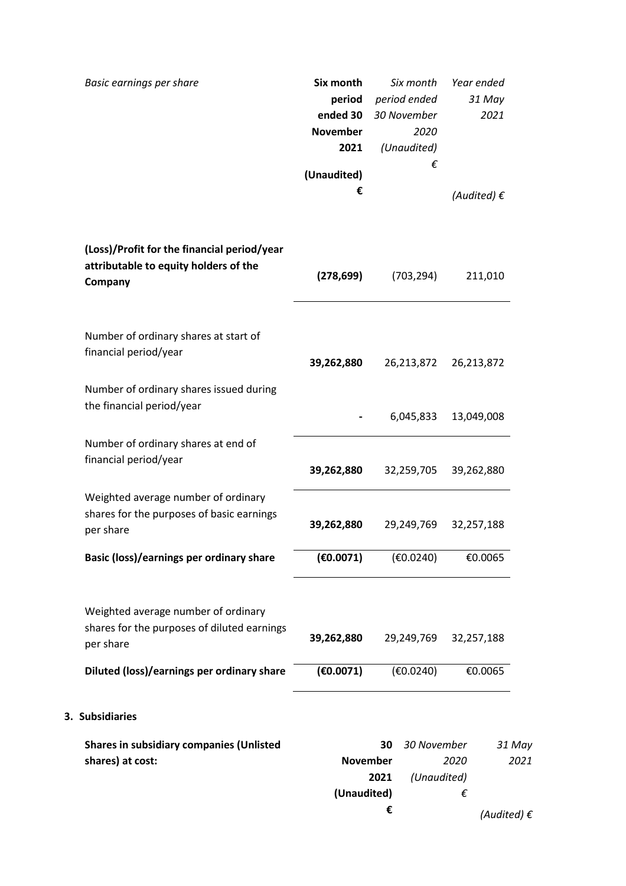| Basic earnings per share                                                                        | Six month<br>period<br>ended 30<br><b>November</b><br>2021<br>(Unaudited)<br>€ | Six month<br>period ended<br>30 November<br>2020<br>(Unaudited)<br>€ | Year ended<br>31 May<br>2021<br>(Audited) $\epsilon$ |      |
|-------------------------------------------------------------------------------------------------|--------------------------------------------------------------------------------|----------------------------------------------------------------------|------------------------------------------------------|------|
|                                                                                                 |                                                                                |                                                                      |                                                      |      |
| (Loss)/Profit for the financial period/year<br>attributable to equity holders of the<br>Company | (278, 699)                                                                     | (703, 294)                                                           | 211,010                                              |      |
| Number of ordinary shares at start of<br>financial period/year                                  | 39,262,880                                                                     | 26,213,872                                                           | 26,213,872                                           |      |
| Number of ordinary shares issued during<br>the financial period/year                            |                                                                                | 6,045,833                                                            | 13,049,008                                           |      |
| Number of ordinary shares at end of<br>financial period/year                                    | 39,262,880                                                                     | 32,259,705                                                           | 39,262,880                                           |      |
| Weighted average number of ordinary<br>shares for the purposes of basic earnings<br>per share   | 39,262,880                                                                     | 29,249,769                                                           | 32,257,188                                           |      |
| Basic (loss)/earnings per ordinary share                                                        | (€0.0071)                                                                      | (E0.0240)                                                            | €0.0065                                              |      |
| Weighted average number of ordinary<br>shares for the purposes of diluted earnings<br>per share | 39,262,880                                                                     | 29,249,769                                                           | 32,257,188                                           |      |
| Diluted (loss)/earnings per ordinary share                                                      | (€0.0071)                                                                      | (E0.0240)                                                            | €0.0065                                              |      |
| 3. Subsidiaries                                                                                 |                                                                                |                                                                      |                                                      |      |
| <b>Shares in subsidiary companies (Unlisted</b><br>shares) at cost:                             | <b>November</b><br>(Unaudited)                                                 | 30 November<br>30<br>(Unaudited)<br>2021<br>€                        | 31 May<br>2020<br>€                                  | 2021 |
|                                                                                                 |                                                                                |                                                                      | (Audited) $\epsilon$                                 |      |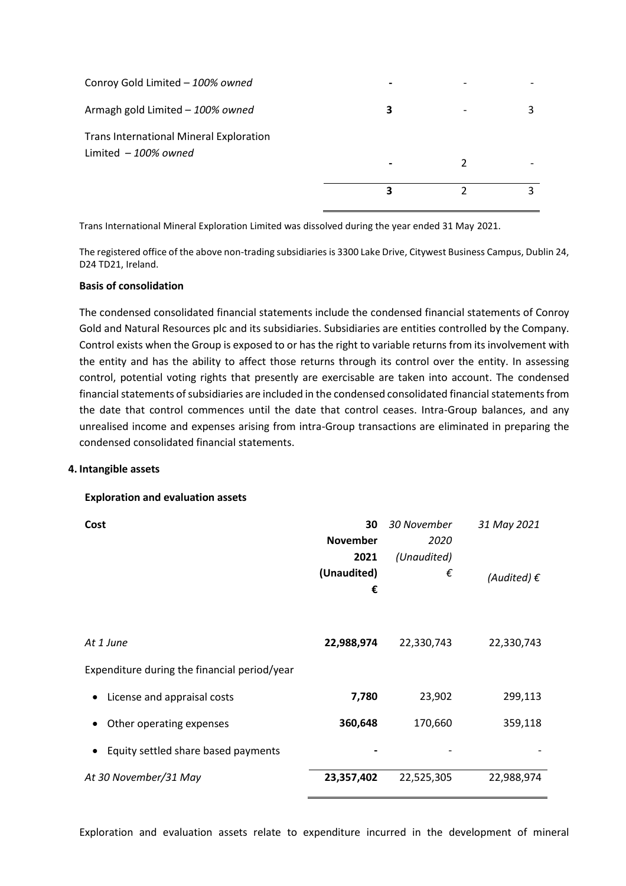| Limited $-100\%$ owned                         |   |  |
|------------------------------------------------|---|--|
| <b>Trans International Mineral Exploration</b> |   |  |
| Armagh gold Limited - 100% owned               | 3 |  |
| Conroy Gold Limited - 100% owned               |   |  |

Trans International Mineral Exploration Limited was dissolved during the year ended 31 May 2021.

The registered office of the above non-trading subsidiaries is 3300 Lake Drive, Citywest Business Campus, Dublin 24, D24 TD21, Ireland.

#### **Basis of consolidation**

The condensed consolidated financial statements include the condensed financial statements of Conroy Gold and Natural Resources plc and its subsidiaries. Subsidiaries are entities controlled by the Company. Control exists when the Group is exposed to or has the right to variable returns from its involvement with the entity and has the ability to affect those returns through its control over the entity. In assessing control, potential voting rights that presently are exercisable are taken into account. The condensed financial statements of subsidiaries are included in the condensed consolidated financial statements from the date that control commences until the date that control ceases. Intra-Group balances, and any unrealised income and expenses arising from intra-Group transactions are eliminated in preparing the condensed consolidated financial statements.

#### **4. Intangible assets**

## **Exploration and evaluation assets**

| Cost                                         | 30              | 30 November | 31 May 2021          |
|----------------------------------------------|-----------------|-------------|----------------------|
|                                              | <b>November</b> | 2020        |                      |
|                                              | 2021            | (Unaudited) |                      |
|                                              | (Unaudited)     | €           | (Audited) $\epsilon$ |
|                                              | €               |             |                      |
|                                              |                 |             |                      |
| At 1 June                                    | 22,988,974      | 22,330,743  | 22,330,743           |
| Expenditure during the financial period/year |                 |             |                      |
| License and appraisal costs                  | 7,780           | 23,902      | 299,113              |
| Other operating expenses                     | 360,648         | 170,660     | 359,118              |
| Equity settled share based payments          |                 |             |                      |
| At 30 November/31 May                        | 23,357,402      | 22,525,305  | 22,988,974           |

Exploration and evaluation assets relate to expenditure incurred in the development of mineral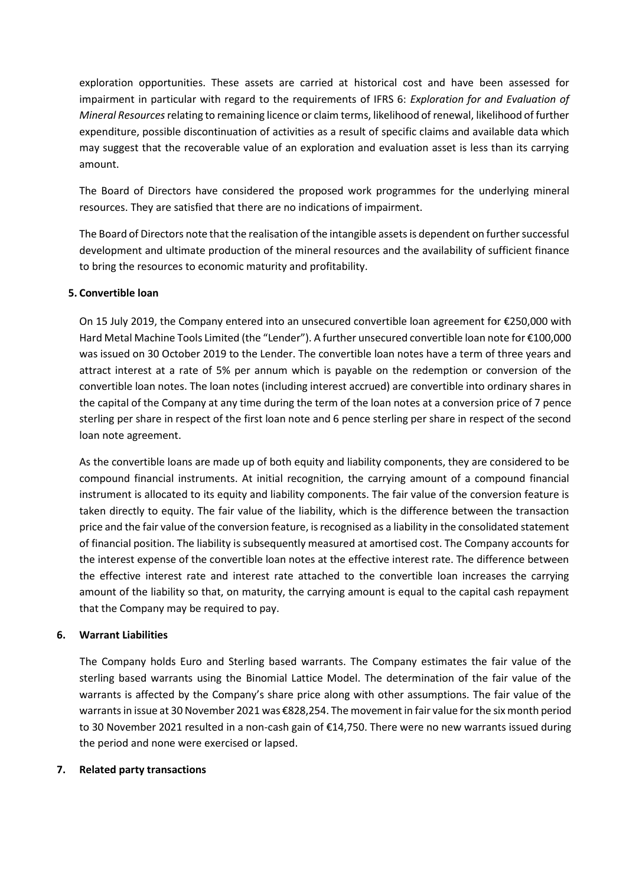exploration opportunities. These assets are carried at historical cost and have been assessed for impairment in particular with regard to the requirements of IFRS 6: *Exploration for and Evaluation of Mineral Resources* relating to remaining licence or claim terms, likelihood of renewal, likelihood of further expenditure, possible discontinuation of activities as a result of specific claims and available data which may suggest that the recoverable value of an exploration and evaluation asset is less than its carrying amount.

The Board of Directors have considered the proposed work programmes for the underlying mineral resources. They are satisfied that there are no indications of impairment.

The Board of Directors note that the realisation of the intangible assets is dependent on further successful development and ultimate production of the mineral resources and the availability of sufficient finance to bring the resources to economic maturity and profitability.

# **5. Convertible loan**

On 15 July 2019, the Company entered into an unsecured convertible loan agreement for €250,000 with Hard Metal Machine Tools Limited (the "Lender"). A further unsecured convertible loan note for €100,000 was issued on 30 October 2019 to the Lender. The convertible loan notes have a term of three years and attract interest at a rate of 5% per annum which is payable on the redemption or conversion of the convertible loan notes. The loan notes (including interest accrued) are convertible into ordinary shares in the capital of the Company at any time during the term of the loan notes at a conversion price of 7 pence sterling per share in respect of the first loan note and 6 pence sterling per share in respect of the second loan note agreement.

As the convertible loans are made up of both equity and liability components, they are considered to be compound financial instruments. At initial recognition, the carrying amount of a compound financial instrument is allocated to its equity and liability components. The fair value of the conversion feature is taken directly to equity. The fair value of the liability, which is the difference between the transaction price and the fair value of the conversion feature, is recognised as a liability in the consolidated statement of financial position. The liability is subsequently measured at amortised cost. The Company accounts for the interest expense of the convertible loan notes at the effective interest rate. The difference between the effective interest rate and interest rate attached to the convertible loan increases the carrying amount of the liability so that, on maturity, the carrying amount is equal to the capital cash repayment that the Company may be required to pay.

## **6. Warrant Liabilities**

The Company holds Euro and Sterling based warrants. The Company estimates the fair value of the sterling based warrants using the Binomial Lattice Model. The determination of the fair value of the warrants is affected by the Company's share price along with other assumptions. The fair value of the warrants in issue at 30 November 2021 was €828,254. The movement in fair value for the six month period to 30 November 2021 resulted in a non-cash gain of €14,750. There were no new warrants issued during the period and none were exercised or lapsed.

## **7. Related party transactions**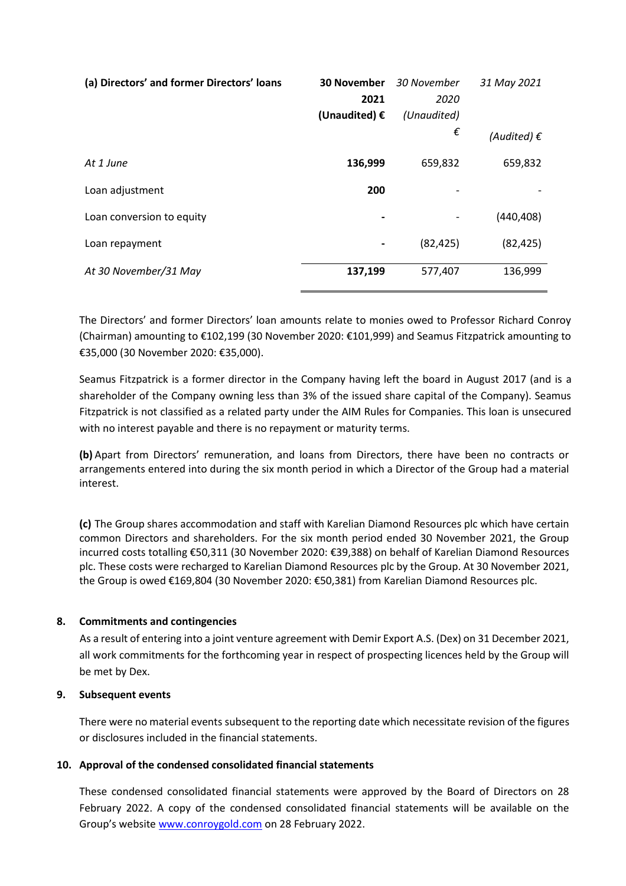| (a) Directors' and former Directors' loans | <b>30 November</b><br>2021<br>(Unaudited) $\epsilon$ | 30 November<br>2020<br>(Unaudited)<br>€ | 31 May 2021<br>(Audited) $\epsilon$ |
|--------------------------------------------|------------------------------------------------------|-----------------------------------------|-------------------------------------|
| At 1 June                                  | 136,999                                              | 659,832                                 | 659,832                             |
| Loan adjustment                            | 200                                                  |                                         |                                     |
| Loan conversion to equity                  |                                                      |                                         | (440, 408)                          |
| Loan repayment                             | $\qquad \qquad \blacksquare$                         | (82, 425)                               | (82, 425)                           |
| At 30 November/31 May                      | 137,199                                              | 577,407                                 | 136,999                             |

The Directors' and former Directors' loan amounts relate to monies owed to Professor Richard Conroy (Chairman) amounting to €102,199 (30 November 2020: €101,999) and Seamus Fitzpatrick amounting to €35,000 (30 November 2020: €35,000).

Seamus Fitzpatrick is a former director in the Company having left the board in August 2017 (and is a shareholder of the Company owning less than 3% of the issued share capital of the Company). Seamus Fitzpatrick is not classified as a related party under the AIM Rules for Companies. This loan is unsecured with no interest payable and there is no repayment or maturity terms.

**(b)** Apart from Directors' remuneration, and loans from Directors, there have been no contracts or arrangements entered into during the six month period in which a Director of the Group had a material interest.

**(c)** The Group shares accommodation and staff with Karelian Diamond Resources plc which have certain common Directors and shareholders. For the six month period ended 30 November 2021, the Group incurred costs totalling €50,311 (30 November 2020: €39,388) on behalf of Karelian Diamond Resources plc. These costs were recharged to Karelian Diamond Resources plc by the Group. At 30 November 2021, the Group is owed €169,804 (30 November 2020: €50,381) from Karelian Diamond Resources plc.

# **8. Commitments and contingencies**

As a result of entering into a joint venture agreement with Demir Export A.S. (Dex) on 31 December 2021, all work commitments for the forthcoming year in respect of prospecting licences held by the Group will be met by Dex.

## **9. Subsequent events**

There were no material events subsequent to the reporting date which necessitate revision of the figures or disclosures included in the financial statements.

## **10. Approval of the condensed consolidated financial statements**

These condensed consolidated financial statements were approved by the Board of Directors on 28 February 2022. A copy of the condensed consolidated financial statements will be available on the Group's website [www.conroygold.com](http://www.conroygold.com/) on 28 February 2022.